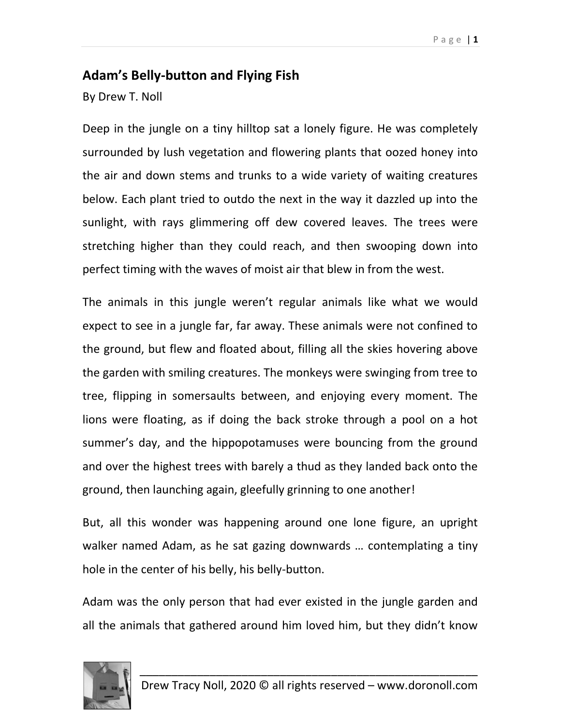## Adam's Belly-button and Flying Fish

## By Drew T. Noll

Deep in the jungle on a tiny hilltop sat a lonely figure. He was completely surrounded by lush vegetation and flowering plants that oozed honey into the air and down stems and trunks to a wide variety of waiting creatures below. Each plant tried to outdo the next in the way it dazzled up into the sunlight, with rays glimmering off dew covered leaves. The trees were stretching higher than they could reach, and then swooping down into perfect timing with the waves of moist air that blew in from the west.

The animals in this jungle weren't regular animals like what we would expect to see in a jungle far, far away. These animals were not confined to the ground, but flew and floated about, filling all the skies hovering above the garden with smiling creatures. The monkeys were swinging from tree to tree, flipping in somersaults between, and enjoying every moment. The lions were floating, as if doing the back stroke through a pool on a hot summer's day, and the hippopotamuses were bouncing from the ground and over the highest trees with barely a thud as they landed back onto the ground, then launching again, gleefully grinning to one another!

But, all this wonder was happening around one lone figure, an upright walker named Adam, as he sat gazing downwards … contemplating a tiny hole in the center of his belly, his belly-button.

Adam was the only person that had ever existed in the jungle garden and all the animals that gathered around him loved him, but they didn't know

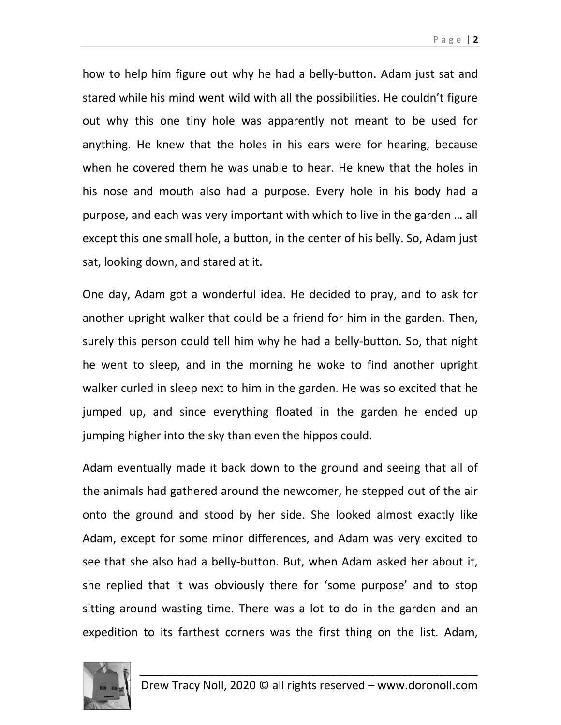how to help him figure out why he had a belly-button. Adam just sat and stared while his mind went wild with all the possibilities. He couldn't figure out why this one tiny hole was apparently not meant to be used for anything. He knew that the holes in his ears were for hearing, because when he covered them he was unable to hear. He knew that the holes in his nose and mouth also had a purpose. Every hole in his body had a purpose, and each was very important with which to live in the garden … all except this one small hole, a button, in the center of his belly. So, Adam just sat, looking down, and stared at it.

One day, Adam got a wonderful idea. He decided to pray, and to ask for another upright walker that could be a friend for him in the garden. Then, surely this person could tell him why he had a belly-button. So, that night he went to sleep, and in the morning he woke to find another upright walker curled in sleep next to him in the garden. He was so excited that he jumped up, and since everything floated in the garden he ended up jumping higher into the sky than even the hippos could.

Adam eventually made it back down to the ground and seeing that all of the animals had gathered around the newcomer, he stepped out of the air onto the ground and stood by her side. She looked almost exactly like Adam, except for some minor differences, and Adam was very excited to see that she also had a belly-button. But, when Adam asked her about it, she replied that it was obviously there for 'some purpose' and to stop sitting around wasting time. There was a lot to do in the garden and an expedition to its farthest corners was the first thing on the list. Adam,

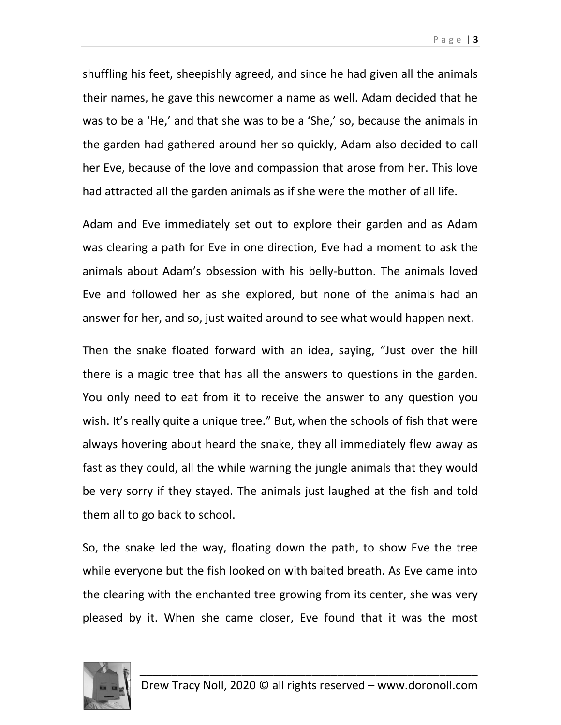P a g e | 3

shuffling his feet, sheepishly agreed, and since he had given all the animals their names, he gave this newcomer a name as well. Adam decided that he was to be a 'He,' and that she was to be a 'She,' so, because the animals in the garden had gathered around her so quickly, Adam also decided to call her Eve, because of the love and compassion that arose from her. This love had attracted all the garden animals as if she were the mother of all life.

Adam and Eve immediately set out to explore their garden and as Adam was clearing a path for Eve in one direction, Eve had a moment to ask the animals about Adam's obsession with his belly-button. The animals loved Eve and followed her as she explored, but none of the animals had an answer for her, and so, just waited around to see what would happen next.

Then the snake floated forward with an idea, saying, "Just over the hill there is a magic tree that has all the answers to questions in the garden. You only need to eat from it to receive the answer to any question you wish. It's really quite a unique tree." But, when the schools of fish that were always hovering about heard the snake, they all immediately flew away as fast as they could, all the while warning the jungle animals that they would be very sorry if they stayed. The animals just laughed at the fish and told them all to go back to school.

So, the snake led the way, floating down the path, to show Eve the tree while everyone but the fish looked on with baited breath. As Eve came into the clearing with the enchanted tree growing from its center, she was very pleased by it. When she came closer, Eve found that it was the most

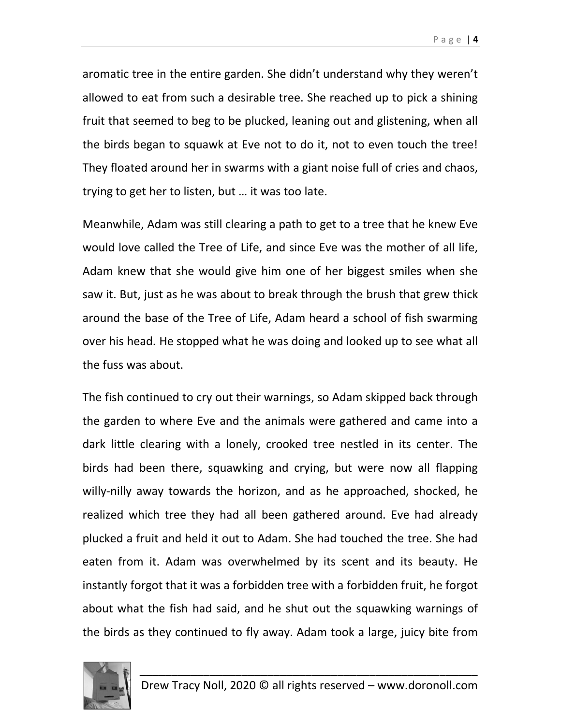aromatic tree in the entire garden. She didn't understand why they weren't allowed to eat from such a desirable tree. She reached up to pick a shining fruit that seemed to beg to be plucked, leaning out and glistening, when all the birds began to squawk at Eve not to do it, not to even touch the tree! They floated around her in swarms with a giant noise full of cries and chaos, trying to get her to listen, but … it was too late.

Meanwhile, Adam was still clearing a path to get to a tree that he knew Eve would love called the Tree of Life, and since Eve was the mother of all life, Adam knew that she would give him one of her biggest smiles when she saw it. But, just as he was about to break through the brush that grew thick around the base of the Tree of Life, Adam heard a school of fish swarming over his head. He stopped what he was doing and looked up to see what all the fuss was about.

The fish continued to cry out their warnings, so Adam skipped back through the garden to where Eve and the animals were gathered and came into a dark little clearing with a lonely, crooked tree nestled in its center. The birds had been there, squawking and crying, but were now all flapping willy-nilly away towards the horizon, and as he approached, shocked, he realized which tree they had all been gathered around. Eve had already plucked a fruit and held it out to Adam. She had touched the tree. She had eaten from it. Adam was overwhelmed by its scent and its beauty. He instantly forgot that it was a forbidden tree with a forbidden fruit, he forgot about what the fish had said, and he shut out the squawking warnings of the birds as they continued to fly away. Adam took a large, juicy bite from